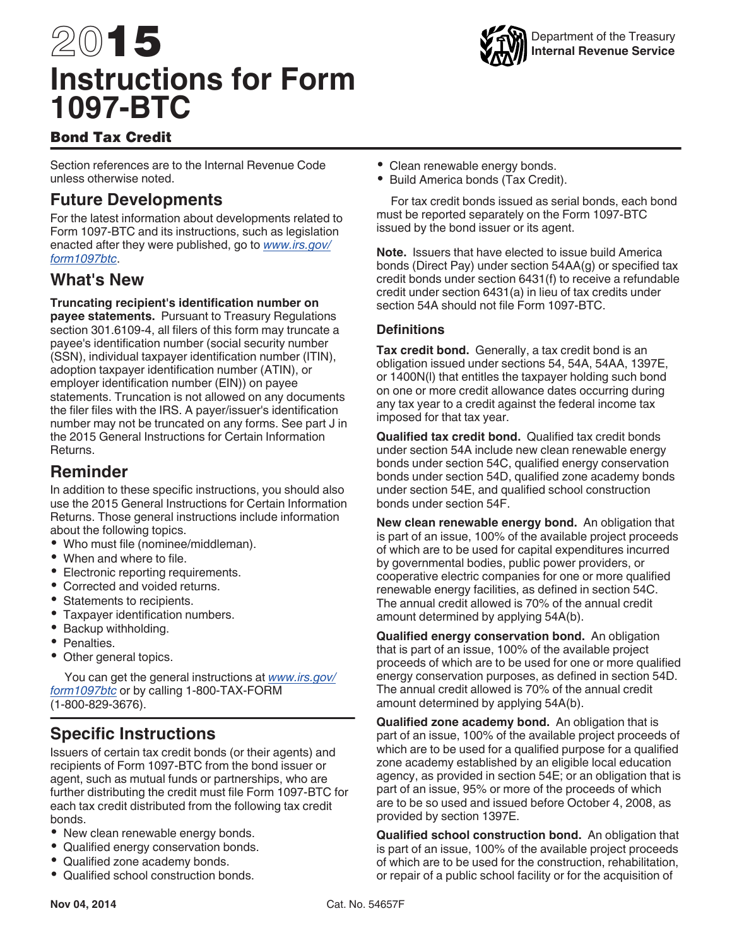# 2015 **Instructions for Form 1097-BTC**



# Bond Tax Credit

Section references are to the Internal Revenue Code unless otherwise noted.

# **Future Developments**

For the latest information about developments related to Form 1097-BTC and its instructions, such as legislation enacted after they were published, go to *[www.irs.gov/](http://www.irs.gov/form1097btc) [form1097btc](http://www.irs.gov/form1097btc)*.

# **What's New**

#### **Truncating recipient's identification number on**

**payee statements.** Pursuant to Treasury Regulations section 301.6109-4, all filers of this form may truncate a payee's identification number (social security number (SSN), individual taxpayer identification number (ITIN), adoption taxpayer identification number (ATIN), or employer identification number (EIN)) on payee statements. Truncation is not allowed on any documents the filer files with the IRS. A payer/issuer's identification number may not be truncated on any forms. See part J in the 2015 General Instructions for Certain Information Returns.

# **Reminder**

In addition to these specific instructions, you should also use the 2015 General Instructions for Certain Information Returns. Those general instructions include information about the following topics.

- Who must file (nominee/middleman).
- When and where to file.
- Electronic reporting requirements.
- Corrected and voided returns.
- Statements to recipients.
- Taxpayer identification numbers.
- Backup withholding.
- Penalties.
- Other general topics.

You can get the general instructions at *[www.irs.gov/](http://www.irs.gov/form1097btc) [form1097btc](http://www.irs.gov/form1097btc)* or by calling 1-800-TAX-FORM (1-800-829-3676).

# **Specific Instructions**

Issuers of certain tax credit bonds (or their agents) and recipients of Form 1097-BTC from the bond issuer or agent, such as mutual funds or partnerships, who are further distributing the credit must file Form 1097-BTC for each tax credit distributed from the following tax credit bonds.

- New clean renewable energy bonds.
- Qualified energy conservation bonds.
- Qualified zone academy bonds.
- Qualified school construction bonds.
- Clean renewable energy bonds.
- Build America bonds (Tax Credit).

For tax credit bonds issued as serial bonds, each bond must be reported separately on the Form 1097-BTC issued by the bond issuer or its agent.

**Note.** Issuers that have elected to issue build America bonds (Direct Pay) under section 54AA(g) or specified tax credit bonds under section 6431(f) to receive a refundable credit under section 6431(a) in lieu of tax credits under section 54A should not file Form 1097-BTC.

## **Definitions**

**Tax credit bond.** Generally, a tax credit bond is an obligation issued under sections 54, 54A, 54AA, 1397E, or 1400N(l) that entitles the taxpayer holding such bond on one or more credit allowance dates occurring during any tax year to a credit against the federal income tax imposed for that tax year.

**Qualified tax credit bond.** Qualified tax credit bonds under section 54A include new clean renewable energy bonds under section 54C, qualified energy conservation bonds under section 54D, qualified zone academy bonds under section 54E, and qualified school construction bonds under section 54F.

**New clean renewable energy bond.** An obligation that is part of an issue, 100% of the available project proceeds of which are to be used for capital expenditures incurred by governmental bodies, public power providers, or cooperative electric companies for one or more qualified renewable energy facilities, as defined in section 54C. The annual credit allowed is 70% of the annual credit amount determined by applying 54A(b).

**Qualified energy conservation bond.** An obligation that is part of an issue, 100% of the available project proceeds of which are to be used for one or more qualified energy conservation purposes, as defined in section 54D. The annual credit allowed is 70% of the annual credit amount determined by applying 54A(b).

**Qualified zone academy bond.** An obligation that is part of an issue, 100% of the available project proceeds of which are to be used for a qualified purpose for a qualified zone academy established by an eligible local education agency, as provided in section 54E; or an obligation that is part of an issue, 95% or more of the proceeds of which are to be so used and issued before October 4, 2008, as provided by section 1397E.

**Qualified school construction bond.** An obligation that is part of an issue, 100% of the available project proceeds of which are to be used for the construction, rehabilitation, or repair of a public school facility or for the acquisition of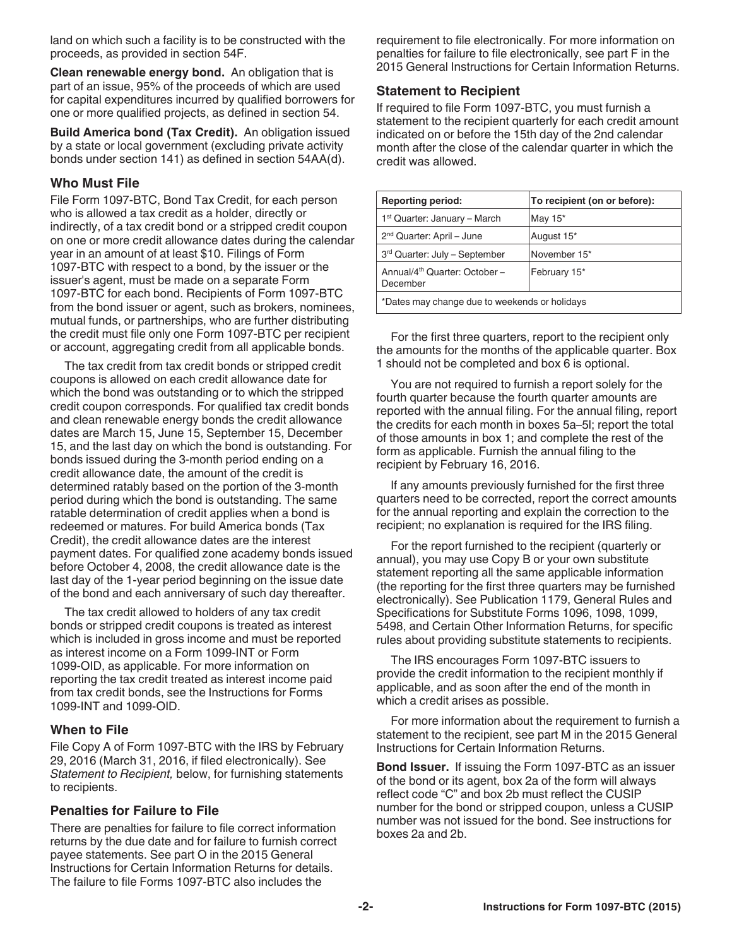land on which such a facility is to be constructed with the proceeds, as provided in section 54F.

**Clean renewable energy bond.** An obligation that is part of an issue, 95% of the proceeds of which are used for capital expenditures incurred by qualified borrowers for one or more qualified projects, as defined in section 54.

**Build America bond (Tax Credit).** An obligation issued by a state or local government (excluding private activity bonds under section 141) as defined in section 54AA(d).

#### **Who Must File**

File Form 1097-BTC, Bond Tax Credit, for each person who is allowed a tax credit as a holder, directly or indirectly, of a tax credit bond or a stripped credit coupon on one or more credit allowance dates during the calendar year in an amount of at least \$10. Filings of Form 1097-BTC with respect to a bond, by the issuer or the issuer's agent, must be made on a separate Form 1097-BTC for each bond. Recipients of Form 1097-BTC from the bond issuer or agent, such as brokers, nominees, mutual funds, or partnerships, who are further distributing the credit must file only one Form 1097-BTC per recipient or account, aggregating credit from all applicable bonds.

The tax credit from tax credit bonds or stripped credit coupons is allowed on each credit allowance date for which the bond was outstanding or to which the stripped credit coupon corresponds. For qualified tax credit bonds and clean renewable energy bonds the credit allowance dates are March 15, June 15, September 15, December 15, and the last day on which the bond is outstanding. For bonds issued during the 3-month period ending on a credit allowance date, the amount of the credit is determined ratably based on the portion of the 3-month period during which the bond is outstanding. The same ratable determination of credit applies when a bond is redeemed or matures. For build America bonds (Tax Credit), the credit allowance dates are the interest payment dates. For qualified zone academy bonds issued before October 4, 2008, the credit allowance date is the last day of the 1-year period beginning on the issue date of the bond and each anniversary of such day thereafter.

The tax credit allowed to holders of any tax credit bonds or stripped credit coupons is treated as interest which is included in gross income and must be reported as interest income on a Form 1099-INT or Form 1099-OID, as applicable. For more information on reporting the tax credit treated as interest income paid from tax credit bonds, see the Instructions for Forms 1099-INT and 1099-OID.

#### **When to File**

File Copy A of Form 1097-BTC with the IRS by February 29, 2016 (March 31, 2016, if filed electronically). See *Statement to Recipient,* below, for furnishing statements to recipients.

#### **Penalties for Failure to File**

There are penalties for failure to file correct information returns by the due date and for failure to furnish correct payee statements. See part O in the 2015 General Instructions for Certain Information Returns for details. The failure to file Forms 1097-BTC also includes the

requirement to file electronically. For more information on penalties for failure to file electronically, see part F in the 2015 General Instructions for Certain Information Returns.

#### **Statement to Recipient**

If required to file Form 1097-BTC, you must furnish a statement to the recipient quarterly for each credit amount indicated on or before the 15th day of the 2nd calendar month after the close of the calendar quarter in which the credit was allowed.

| <b>Reporting period:</b>                              | To recipient (on or before): |
|-------------------------------------------------------|------------------------------|
| 1 <sup>st</sup> Quarter: January – March              | May $15^*$                   |
| 2 <sup>nd</sup> Quarter: April - June                 | August 15*                   |
| 3rd Quarter: July - September                         | November 15*                 |
| Annual/4 <sup>th</sup> Quarter: October -<br>December | February 15*                 |
| *Dates may change due to weekends or holidays         |                              |

For the first three quarters, report to the recipient only the amounts for the months of the applicable quarter. Box 1 should not be completed and box 6 is optional.

You are not required to furnish a report solely for the fourth quarter because the fourth quarter amounts are reported with the annual filing. For the annual filing, report the credits for each month in boxes 5a–5l; report the total of those amounts in box 1; and complete the rest of the form as applicable. Furnish the annual filing to the recipient by February 16, 2016.

If any amounts previously furnished for the first three quarters need to be corrected, report the correct amounts for the annual reporting and explain the correction to the recipient; no explanation is required for the IRS filing.

For the report furnished to the recipient (quarterly or annual), you may use Copy B or your own substitute statement reporting all the same applicable information (the reporting for the first three quarters may be furnished electronically). See Publication 1179, General Rules and Specifications for Substitute Forms 1096, 1098, 1099, 5498, and Certain Other Information Returns, for specific rules about providing substitute statements to recipients.

The IRS encourages Form 1097-BTC issuers to provide the credit information to the recipient monthly if applicable, and as soon after the end of the month in which a credit arises as possible.

For more information about the requirement to furnish a statement to the recipient, see part M in the 2015 General Instructions for Certain Information Returns.

**Bond Issuer.** If issuing the Form 1097-BTC as an issuer of the bond or its agent, box 2a of the form will always reflect code "C" and box 2b must reflect the CUSIP number for the bond or stripped coupon, unless a CUSIP number was not issued for the bond. See instructions for boxes 2a and 2b.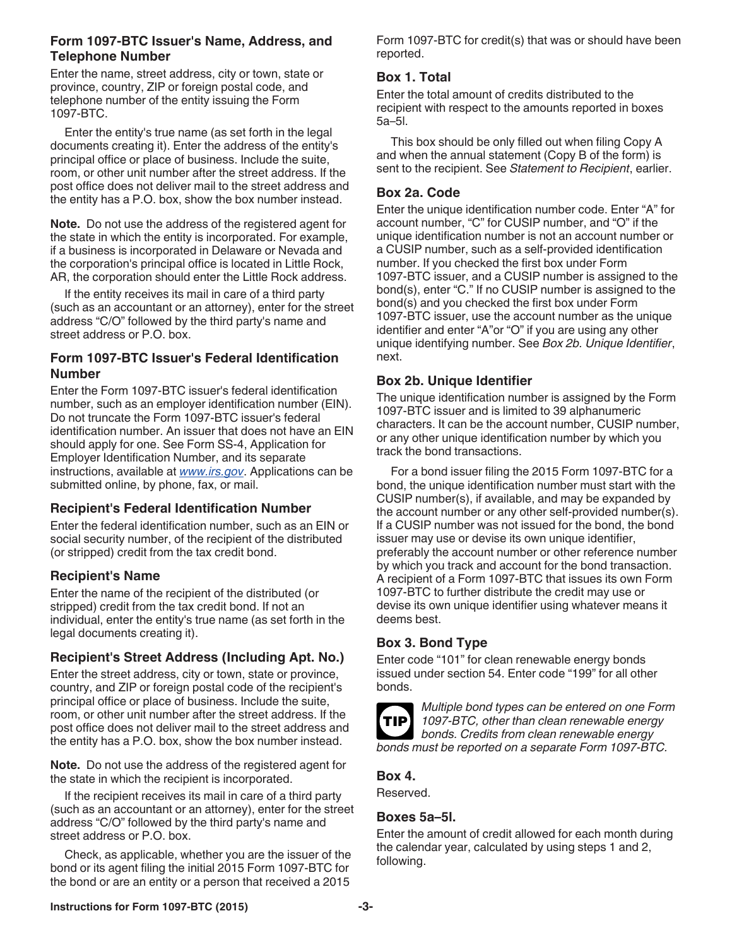#### **Form 1097-BTC Issuer's Name, Address, and Telephone Number**

Enter the name, street address, city or town, state or province, country, ZIP or foreign postal code, and telephone number of the entity issuing the Form 1097-BTC.

Enter the entity's true name (as set forth in the legal documents creating it). Enter the address of the entity's principal office or place of business. Include the suite, room, or other unit number after the street address. If the post office does not deliver mail to the street address and the entity has a P.O. box, show the box number instead.

**Note.** Do not use the address of the registered agent for the state in which the entity is incorporated. For example, if a business is incorporated in Delaware or Nevada and the corporation's principal office is located in Little Rock, AR, the corporation should enter the Little Rock address.

If the entity receives its mail in care of a third party (such as an accountant or an attorney), enter for the street address "C/O" followed by the third party's name and street address or P.O. box.

#### **Form 1097-BTC Issuer's Federal Identification Number**

Enter the Form 1097-BTC issuer's federal identification number, such as an employer identification number (EIN). Do not truncate the Form 1097-BTC issuer's federal identification number. An issuer that does not have an EIN should apply for one. See Form SS-4, Application for Employer Identification Number, and its separate instructions, available at *[www.irs.gov](http://www.irs.gov)*. Applications can be submitted online, by phone, fax, or mail.

# **Recipient's Federal Identification Number**

Enter the federal identification number, such as an EIN or social security number, of the recipient of the distributed (or stripped) credit from the tax credit bond.

# **Recipient's Name**

Enter the name of the recipient of the distributed (or stripped) credit from the tax credit bond. If not an individual, enter the entity's true name (as set forth in the legal documents creating it).

# **Recipient's Street Address (Including Apt. No.)**

Enter the street address, city or town, state or province, country, and ZIP or foreign postal code of the recipient's principal office or place of business. Include the suite, room, or other unit number after the street address. If the post office does not deliver mail to the street address and the entity has a P.O. box, show the box number instead.

**Note.** Do not use the address of the registered agent for the state in which the recipient is incorporated.

If the recipient receives its mail in care of a third party (such as an accountant or an attorney), enter for the street address "C/O" followed by the third party's name and street address or P.O. box.

Check, as applicable, whether you are the issuer of the bond or its agent filing the initial 2015 Form 1097-BTC for the bond or are an entity or a person that received a 2015

Form 1097-BTC for credit(s) that was or should have been reported.

# **Box 1. Total**

Enter the total amount of credits distributed to the recipient with respect to the amounts reported in boxes 5a–5l.

This box should be only filled out when filing Copy A and when the annual statement (Copy B of the form) is sent to the recipient. See *Statement to Recipient*, earlier.

## **Box 2a. Code**

Enter the unique identification number code. Enter "A" for account number, "C" for CUSIP number, and "O" if the unique identification number is not an account number or a CUSIP number, such as a self-provided identification number. If you checked the first box under Form 1097-BTC issuer, and a CUSIP number is assigned to the bond(s), enter "C." If no CUSIP number is assigned to the bond(s) and you checked the first box under Form 1097-BTC issuer, use the account number as the unique identifier and enter "A"or "O" if you are using any other unique identifying number. See *Box 2b. Unique Identifier*, next.

## **Box 2b. Unique Identifier**

The unique identification number is assigned by the Form 1097-BTC issuer and is limited to 39 alphanumeric characters. It can be the account number, CUSIP number, or any other unique identification number by which you track the bond transactions.

For a bond issuer filing the 2015 Form 1097-BTC for a bond, the unique identification number must start with the CUSIP number(s), if available, and may be expanded by the account number or any other self-provided number(s). If a CUSIP number was not issued for the bond, the bond issuer may use or devise its own unique identifier, preferably the account number or other reference number by which you track and account for the bond transaction. A recipient of a Form 1097-BTC that issues its own Form 1097-BTC to further distribute the credit may use or devise its own unique identifier using whatever means it deems best.

## **Box 3. Bond Type**

Enter code "101" for clean renewable energy bonds issued under section 54. Enter code "199" for all other bonds.



*Multiple bond types can be entered on one Form 1097-BTC, other than clean renewable energy bonds. Credits from clean renewable energy bonds must be reported on a separate Form 1097-BTC.*

## **Box 4.**

Reserved.

## **Boxes 5a–5l.**

Enter the amount of credit allowed for each month during the calendar year, calculated by using steps 1 and 2, following.